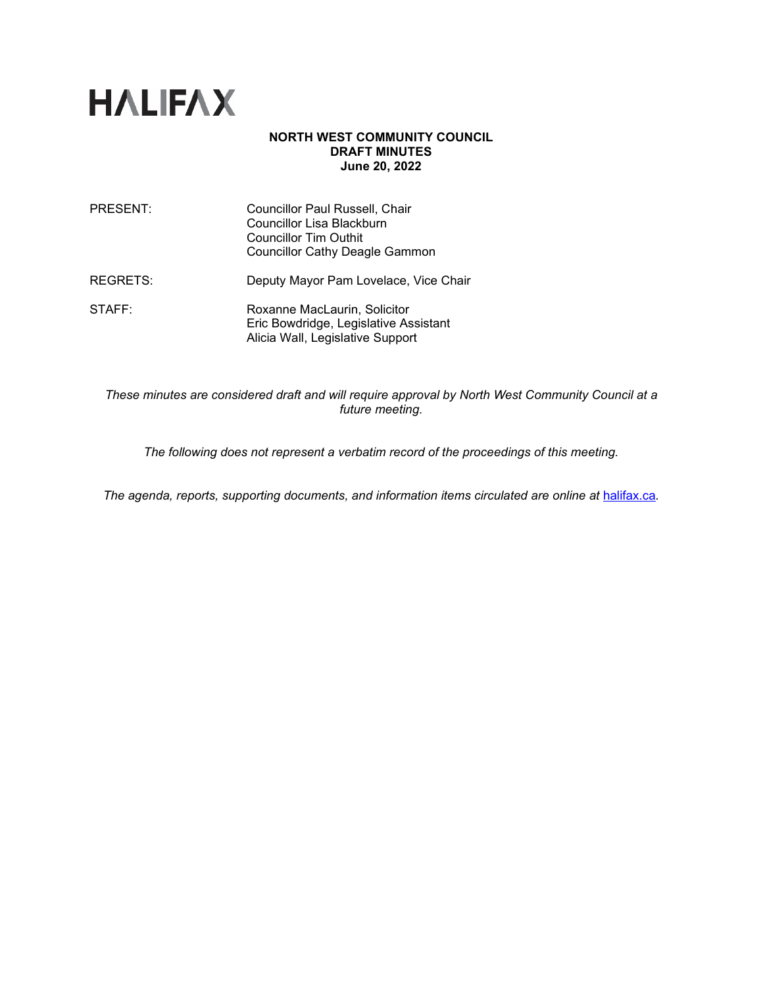

## **NORTH WEST COMMUNITY COUNCIL DRAFT MINUTES June 20, 2022**

| PRESENT: | Councillor Paul Russell, Chair<br>Councillor Lisa Blackburn<br><b>Councillor Tim Outhit</b><br><b>Councillor Cathy Deagle Gammon</b> |
|----------|--------------------------------------------------------------------------------------------------------------------------------------|
| REGRETS: | Deputy Mayor Pam Lovelace, Vice Chair                                                                                                |
| STATE:   | Roxanne MacLaurin, Solicitor<br>Eric Bowdridge, Legislative Assistant<br>Alicia Wall, Legislative Support                            |

*These minutes are considered draft and will require approval by North West Community Council at a future meeting.*

*The following does not represent a verbatim record of the proceedings of this meeting.*

The agenda, reports, supporting documents, and information items circulated are online at [halifax.ca](http://www.halifax.ca/).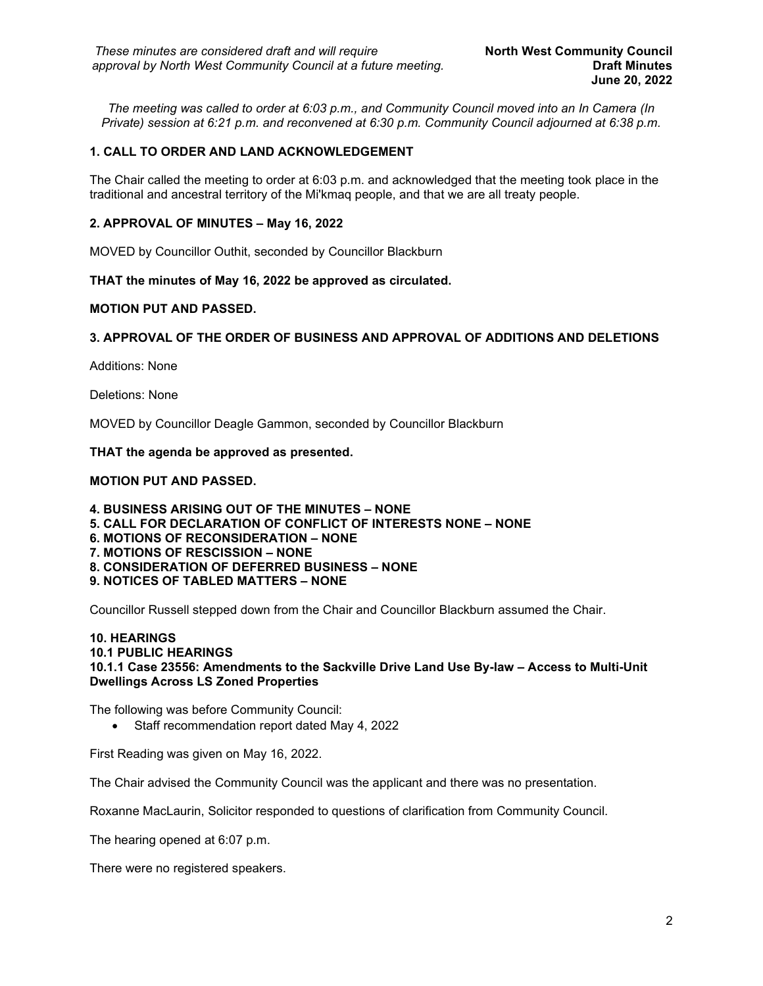*The meeting was called to order at 6:03 p.m., and Community Council moved into an In Camera (In Private) session at 6:21 p.m. and reconvened at 6:30 p.m. Community Council adjourned at 6:38 p.m.*

# **1. CALL TO ORDER AND LAND ACKNOWLEDGEMENT**

The Chair called the meeting to order at 6:03 p.m. and acknowledged that the meeting took place in the traditional and ancestral territory of the Mi'kmaq people, and that we are all treaty people.

## **2. APPROVAL OF MINUTES – May 16, 2022**

MOVED by Councillor Outhit, seconded by Councillor Blackburn

**THAT the minutes of May 16, 2022 be approved as circulated.**

## **MOTION PUT AND PASSED.**

## **3. APPROVAL OF THE ORDER OF BUSINESS AND APPROVAL OF ADDITIONS AND DELETIONS**

Additions: None

Deletions: None

MOVED by Councillor Deagle Gammon, seconded by Councillor Blackburn

**THAT the agenda be approved as presented.**

## **MOTION PUT AND PASSED.**

**4. BUSINESS ARISING OUT OF THE MINUTES – NONE 5. CALL FOR DECLARATION OF CONFLICT OF INTERESTS NONE – NONE 6. MOTIONS OF RECONSIDERATION – NONE 7. MOTIONS OF RESCISSION – NONE 8. CONSIDERATION OF DEFERRED BUSINESS – NONE 9. NOTICES OF TABLED MATTERS – NONE**

Councillor Russell stepped down from the Chair and Councillor Blackburn assumed the Chair.

### **10. HEARINGS 10.1 PUBLIC HEARINGS 10.1.1 Case 23556: Amendments to the Sackville Drive Land Use By-law – Access to Multi-Unit Dwellings Across LS Zoned Properties**

The following was before Community Council:

• Staff recommendation report dated May 4, 2022

First Reading was given on May 16, 2022.

The Chair advised the Community Council was the applicant and there was no presentation.

Roxanne MacLaurin, Solicitor responded to questions of clarification from Community Council.

The hearing opened at 6:07 p.m.

There were no registered speakers.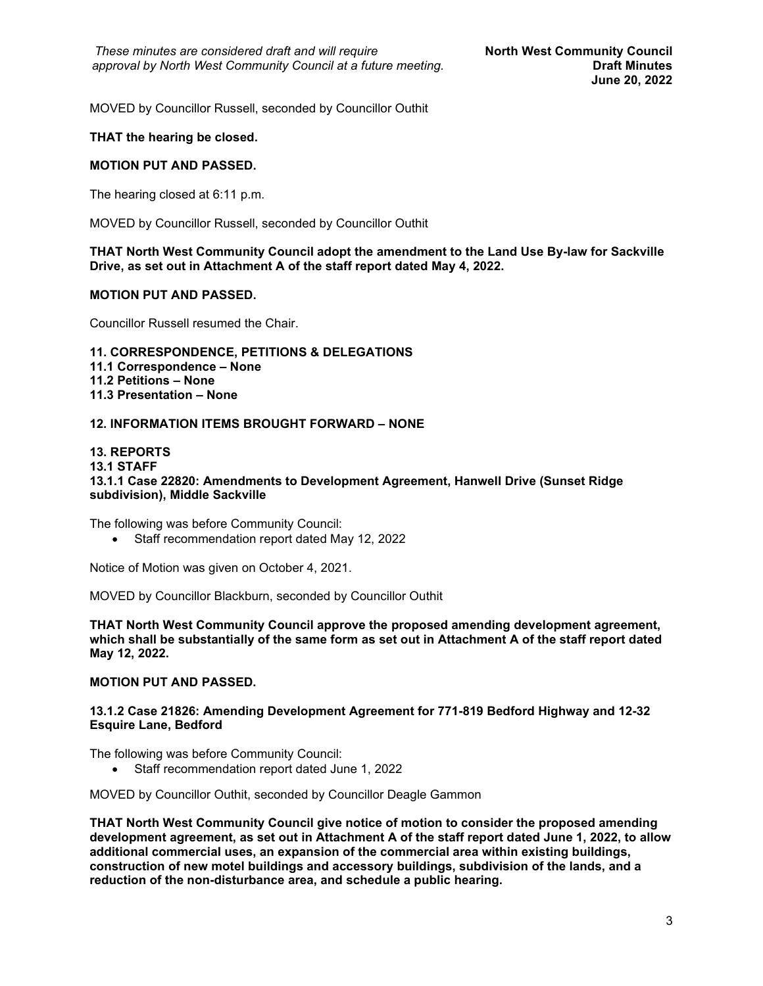MOVED by Councillor Russell, seconded by Councillor Outhit

## **THAT the hearing be closed.**

## **MOTION PUT AND PASSED.**

The hearing closed at 6:11 p.m.

MOVED by Councillor Russell, seconded by Councillor Outhit

**THAT North West Community Council adopt the amendment to the Land Use By-law for Sackville Drive, as set out in Attachment A of the staff report dated May 4, 2022.**

## **MOTION PUT AND PASSED.**

Councillor Russell resumed the Chair.

**11. CORRESPONDENCE, PETITIONS & DELEGATIONS 11.1 Correspondence – None 11.2 Petitions – None 11.3 Presentation – None**

## **12. INFORMATION ITEMS BROUGHT FORWARD – NONE**

#### **13. REPORTS 13.1 STAFF 13.1.1 Case 22820: Amendments to Development Agreement, Hanwell Drive (Sunset Ridge subdivision), Middle Sackville**

The following was before Community Council:

• Staff recommendation report dated May 12, 2022

Notice of Motion was given on October 4, 2021.

MOVED by Councillor Blackburn, seconded by Councillor Outhit

**THAT North West Community Council approve the proposed amending development agreement, which shall be substantially of the same form as set out in Attachment A of the staff report dated May 12, 2022.**

## **MOTION PUT AND PASSED.**

#### **13.1.2 Case 21826: Amending Development Agreement for 771-819 Bedford Highway and 12-32 Esquire Lane, Bedford**

The following was before Community Council:

• Staff recommendation report dated June 1, 2022

MOVED by Councillor Outhit, seconded by Councillor Deagle Gammon

**THAT North West Community Council give notice of motion to consider the proposed amending development agreement, as set out in Attachment A of the staff report dated June 1, 2022, to allow additional commercial uses, an expansion of the commercial area within existing buildings, construction of new motel buildings and accessory buildings, subdivision of the lands, and a reduction of the non-disturbance area, and schedule a public hearing.**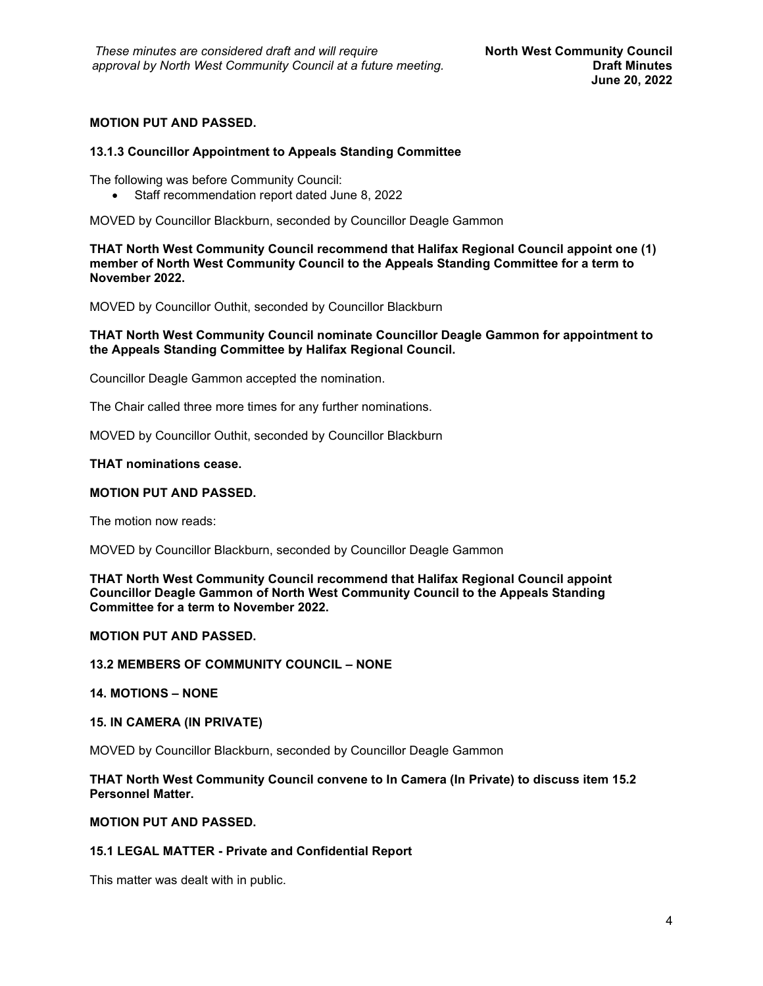# **MOTION PUT AND PASSED.**

## **13.1.3 Councillor Appointment to Appeals Standing Committee**

The following was before Community Council:

• Staff recommendation report dated June 8, 2022

MOVED by Councillor Blackburn, seconded by Councillor Deagle Gammon

**THAT North West Community Council recommend that Halifax Regional Council appoint one (1) member of North West Community Council to the Appeals Standing Committee for a term to November 2022.**

MOVED by Councillor Outhit, seconded by Councillor Blackburn

## **THAT North West Community Council nominate Councillor Deagle Gammon for appointment to the Appeals Standing Committee by Halifax Regional Council.**

Councillor Deagle Gammon accepted the nomination.

The Chair called three more times for any further nominations.

MOVED by Councillor Outhit, seconded by Councillor Blackburn

#### **THAT nominations cease.**

### **MOTION PUT AND PASSED.**

The motion now reads:

MOVED by Councillor Blackburn, seconded by Councillor Deagle Gammon

**THAT North West Community Council recommend that Halifax Regional Council appoint Councillor Deagle Gammon of North West Community Council to the Appeals Standing Committee for a term to November 2022.**

# **MOTION PUT AND PASSED.**

### **13.2 MEMBERS OF COMMUNITY COUNCIL – NONE**

## **14. MOTIONS – NONE**

#### **15. IN CAMERA (IN PRIVATE)**

MOVED by Councillor Blackburn, seconded by Councillor Deagle Gammon

## **THAT North West Community Council convene to In Camera (In Private) to discuss item 15.2 Personnel Matter.**

## **MOTION PUT AND PASSED.**

## **15.1 LEGAL MATTER - Private and Confidential Report**

This matter was dealt with in public.